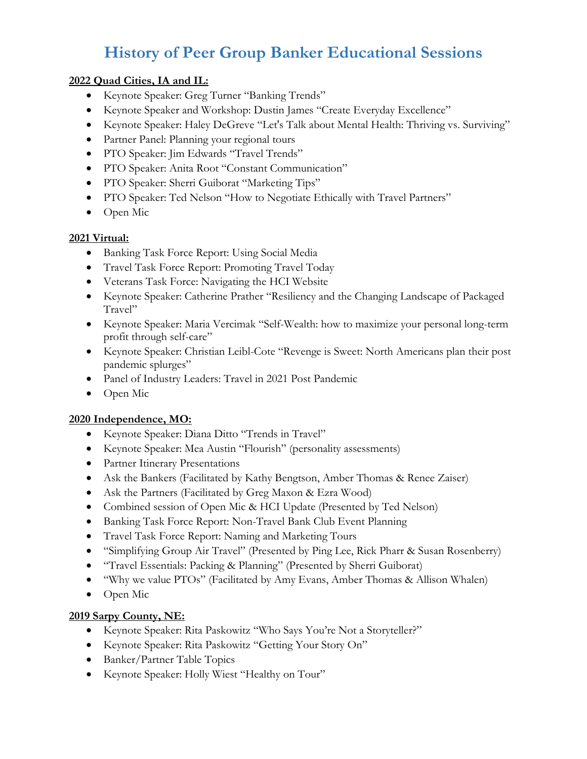# **History of Peer Group Banker Educational Sessions**

#### **2022 Quad Cities, IA and IL:**

- Keynote Speaker: Greg Turner "Banking Trends"
- Keynote Speaker and Workshop: Dustin James "Create Everyday Excellence"
- Keynote Speaker: Haley DeGreve "Let's Talk about Mental Health: Thriving vs. Surviving"
- Partner Panel: Planning your regional tours
- PTO Speaker: Jim Edwards "Travel Trends"
- PTO Speaker: Anita Root "Constant Communication"
- PTO Speaker: Sherri Guiborat "Marketing Tips"
- PTO Speaker: Ted Nelson "How to Negotiate Ethically with Travel Partners"
- Open Mic

#### **2021 Virtual:**

- Banking Task Force Report: Using Social Media
- Travel Task Force Report: Promoting Travel Today
- Veterans Task Force: Navigating the HCI Website
- Keynote Speaker: Catherine Prather "Resiliency and the Changing Landscape of Packaged Travel"
- Keynote Speaker: Maria Vercimak "Self-Wealth: how to maximize your personal long-term profit through self-care"
- Keynote Speaker: Christian Leibl-Cote "Revenge is Sweet: North Americans plan their post pandemic splurges"
- Panel of Industry Leaders: Travel in 2021 Post Pandemic
- Open Mic

#### **2020 Independence, MO:**

- Keynote Speaker: Diana Ditto "Trends in Travel"
- Keynote Speaker: Mea Austin "Flourish" (personality assessments)
- Partner Itinerary Presentations
- Ask the Bankers (Facilitated by Kathy Bengtson, Amber Thomas & Renee Zaiser)
- Ask the Partners (Facilitated by Greg Maxon & Ezra Wood)
- Combined session of Open Mic & HCI Update (Presented by Ted Nelson)
- Banking Task Force Report: Non-Travel Bank Club Event Planning
- Travel Task Force Report: Naming and Marketing Tours
- "Simplifying Group Air Travel" (Presented by Ping Lee, Rick Pharr & Susan Rosenberry)
- "Travel Essentials: Packing & Planning" (Presented by Sherri Guiborat)
- "Why we value PTOs" (Facilitated by Amy Evans, Amber Thomas & Allison Whalen)
- Open Mic

#### **2019 Sarpy County, NE:**

- Keynote Speaker: Rita Paskowitz "Who Says You're Not a Storyteller?"
- Keynote Speaker: Rita Paskowitz "Getting Your Story On"
- Banker/Partner Table Topics
- Keynote Speaker: Holly Wiest "Healthy on Tour"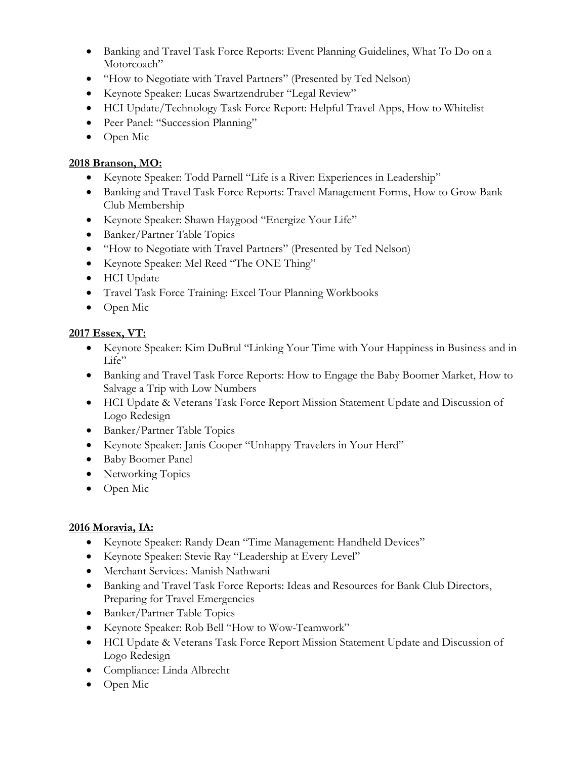- Banking and Travel Task Force Reports: Event Planning Guidelines, What To Do on a Motorcoach"
- "How to Negotiate with Travel Partners" (Presented by Ted Nelson)
- Keynote Speaker: Lucas Swartzendruber "Legal Review"
- HCI Update/Technology Task Force Report: Helpful Travel Apps, How to Whitelist
- Peer Panel: "Succession Planning"
- Open Mic

#### *<sup>U</sup>***2018 Branson, MO:**

- Keynote Speaker: Todd Parnell "Life is a River: Experiences in Leadership"
- Banking and Travel Task Force Reports: Travel Management Forms, How to Grow Bank Club Membership
- Keynote Speaker: Shawn Haygood "Energize Your Life"
- Banker/Partner Table Topics
- "How to Negotiate with Travel Partners" (Presented by Ted Nelson)
- Keynote Speaker: Mel Reed "The ONE Thing"
- HCI Update
- Travel Task Force Training: Excel Tour Planning Workbooks
- Open Mic

## *<sup>U</sup>***2017 Essex, VT:**

- Keynote Speaker: Kim DuBrul "Linking Your Time with Your Happiness in Business and in Life"
- Banking and Travel Task Force Reports: How to Engage the Baby Boomer Market, How to Salvage a Trip with Low Numbers
- HCI Update & Veterans Task Force Report Mission Statement Update and Discussion of Logo Redesign
- Banker/Partner Table Topics
- Keynote Speaker: Janis Cooper "Unhappy Travelers in Your Herd"
- Baby Boomer Panel
- Networking Topics
- Open Mic

## *<sup>U</sup>***2016 Moravia, IA:**

- Keynote Speaker: Randy Dean "Time Management: Handheld Devices"
- Keynote Speaker: Stevie Ray "Leadership at Every Level"
- Merchant Services: Manish Nathwani
- Banking and Travel Task Force Reports: Ideas and Resources for Bank Club Directors, Preparing for Travel Emergencies
- Banker/Partner Table Topics
- Keynote Speaker: Rob Bell "How to Wow-Teamwork"
- HCI Update & Veterans Task Force Report Mission Statement Update and Discussion of Logo Redesign
- Compliance: Linda Albrecht
- Open Mic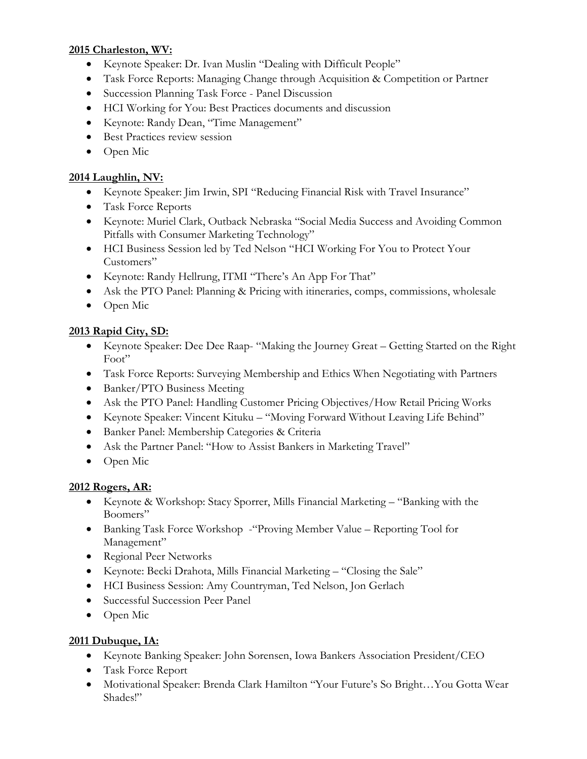#### *<sup>U</sup>***2015 Charleston, WV:**

- Keynote Speaker: Dr. Ivan Muslin "Dealing with Difficult People"
- Task Force Reports: Managing Change through Acquisition & Competition or Partner
- Succession Planning Task Force Panel Discussion
- HCI Working for You: Best Practices documents and discussion
- Keynote: Randy Dean, "Time Management"
- Best Practices review session
- Open Mic

#### *<sup>U</sup>***2014 Laughlin, NV:**

- Keynote Speaker: Jim Irwin, SPI "Reducing Financial Risk with Travel Insurance"
- Task Force Reports
- Keynote: Muriel Clark, Outback Nebraska "Social Media Success and Avoiding Common Pitfalls with Consumer Marketing Technology"
- HCI Business Session led by Ted Nelson "HCI Working For You to Protect Your Customers"
- Keynote: Randy Hellrung, ITMI "There's An App For That"
- Ask the PTO Panel: Planning & Pricing with itineraries, comps, commissions, wholesale
- Open Mic

#### *<sup>U</sup>***2013 Rapid City, SD:**

- Keynote Speaker: Dee Dee Raap- "Making the Journey Great Getting Started on the Right Foot"
- Task Force Reports: Surveying Membership and Ethics When Negotiating with Partners
- Banker/PTO Business Meeting
- Ask the PTO Panel: Handling Customer Pricing Objectives/How Retail Pricing Works
- Keynote Speaker: Vincent Kituku "Moving Forward Without Leaving Life Behind"
- Banker Panel: Membership Categories & Criteria
- Ask the Partner Panel: "How to Assist Bankers in Marketing Travel"
- Open Mic

#### *<sup>U</sup>***2012 Rogers, AR:**

- Keynote & Workshop: Stacy Sporrer, Mills Financial Marketing "Banking with the Boomers"
- Banking Task Force Workshop "Proving Member Value Reporting Tool for Management"
- Regional Peer Networks
- Keynote: Becki Drahota, Mills Financial Marketing "Closing the Sale"
- HCI Business Session: Amy Countryman, Ted Nelson, Jon Gerlach
- Successful Succession Peer Panel
- Open Mic

## *<sup>U</sup>***2011 Dubuque, IA:**

- Keynote Banking Speaker: John Sorensen, Iowa Bankers Association President/CEO
- Task Force Report
- Motivational Speaker: Brenda Clark Hamilton "Your Future's So Bright…You Gotta Wear Shades!"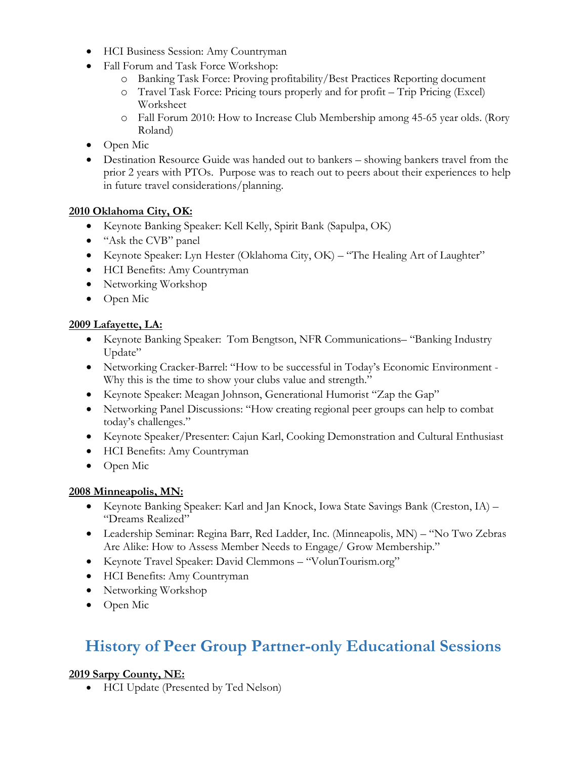- HCI Business Session: Amy Countryman
- Fall Forum and Task Force Workshop:
	- o Banking Task Force: Proving profitability/Best Practices Reporting document
	- o Travel Task Force: Pricing tours properly and for profit Trip Pricing (Excel) Worksheet
	- o Fall Forum 2010: How to Increase Club Membership among 45-65 year olds. (Rory Roland)
- Open Mic
- Destination Resource Guide was handed out to bankers showing bankers travel from the prior 2 years with PTOs. Purpose was to reach out to peers about their experiences to help in future travel considerations/planning.

#### *<sup>U</sup>***2010 Oklahoma City, OK:**

- Keynote Banking Speaker: Kell Kelly, Spirit Bank (Sapulpa, OK)
- "Ask the CVB" panel
- Keynote Speaker: Lyn Hester (Oklahoma City, OK) "The Healing Art of Laughter"
- HCI Benefits: Amy Countryman
- Networking Workshop
- Open Mic

#### *<sup>U</sup>***2009 Lafayette, LA:**

- Keynote Banking Speaker: Tom Bengtson, NFR Communications– "Banking Industry Update"
- Networking Cracker-Barrel: "How to be successful in Today's Economic Environment Why this is the time to show your clubs value and strength."
- Keynote Speaker: Meagan Johnson, Generational Humorist "Zap the Gap"
- Networking Panel Discussions: "How creating regional peer groups can help to combat today's challenges."
- Keynote Speaker/Presenter: Cajun Karl, Cooking Demonstration and Cultural Enthusiast
- HCI Benefits: Amy Countryman
- Open Mic

#### *<sup>U</sup>***2008 Minneapolis, MN:**

- Keynote Banking Speaker: Karl and Jan Knock, Iowa State Savings Bank (Creston, IA) "Dreams Realized"
- Leadership Seminar: Regina Barr, Red Ladder, Inc. (Minneapolis, MN) "No Two Zebras Are Alike: How to Assess Member Needs to Engage/ Grow Membership."
- Keynote Travel Speaker: David Clemmons "VolunTourism.org"
- HCI Benefits: Amy Countryman
- Networking Workshop
- Open Mic

# **History of Peer Group Partner-only Educational Sessions**

## *<sup>U</sup>***2019 Sarpy County, NE:**

• HCI Update (Presented by Ted Nelson)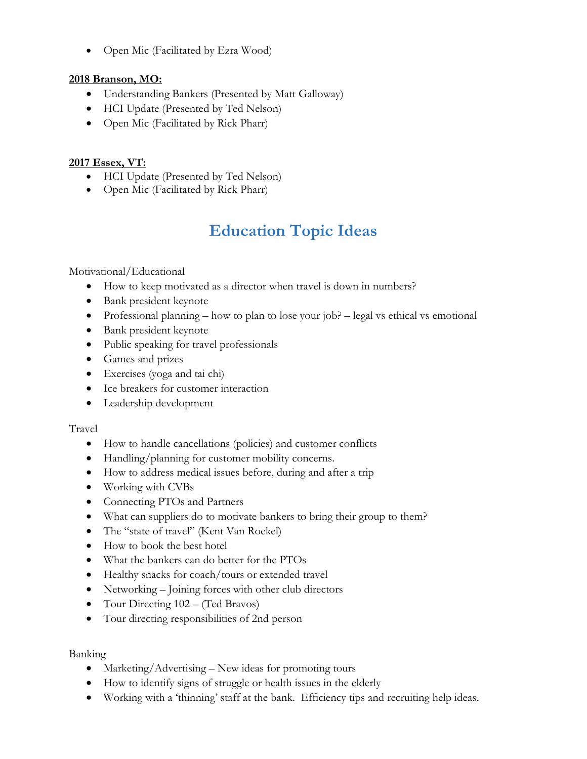• Open Mic (Facilitated by Ezra Wood)

#### **2018 Branson, MO:**

- Understanding Bankers (Presented by Matt Galloway)
- HCI Update (Presented by Ted Nelson)
- Open Mic (Facilitated by Rick Pharr)

#### **2017 Essex, VT:**

- HCI Update (Presented by Ted Nelson)
- Open Mic (Facilitated by Rick Pharr)

# **Education Topic Ideas**

Motivational/Educational

- How to keep motivated as a director when travel is down in numbers?
- Bank president keynote
- Professional planning how to plan to lose your job? legal vs ethical vs emotional
- Bank president keynote
- Public speaking for travel professionals
- Games and prizes
- Exercises (yoga and tai chi)
- Ice breakers for customer interaction
- Leadership development

#### Travel

- How to handle cancellations (policies) and customer conflicts
- Handling/planning for customer mobility concerns.
- How to address medical issues before, during and after a trip
- Working with CVBs
- Connecting PTOs and Partners
- What can suppliers do to motivate bankers to bring their group to them?
- The "state of travel" (Kent Van Roekel)
- How to book the best hotel
- What the bankers can do better for the PTOs
- Healthy snacks for coach/tours or extended travel
- Networking Joining forces with other club directors
- Tour Directing 102 (Ted Bravos)
- Tour directing responsibilities of 2nd person

Banking

- Marketing/Advertising New ideas for promoting tours
- How to identify signs of struggle or health issues in the elderly
- Working with a 'thinning' staff at the bank. Efficiency tips and recruiting help ideas.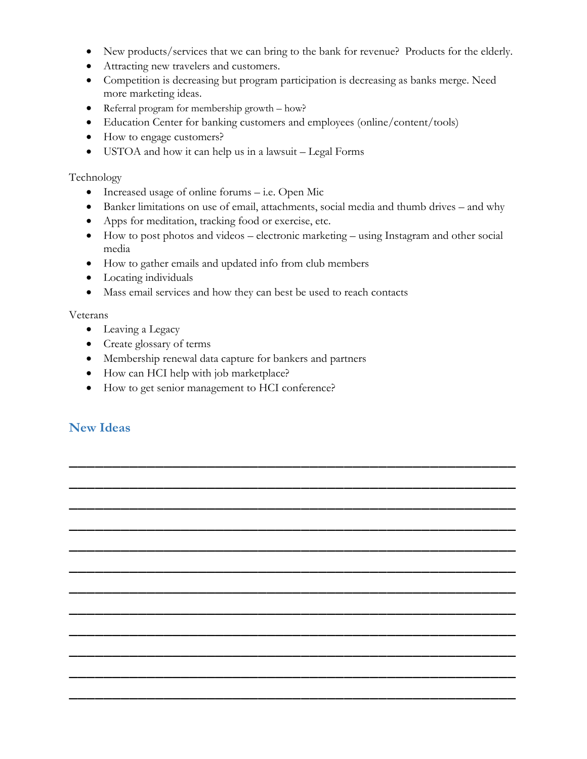- New products/services that we can bring to the bank for revenue? Products for the elderly.
- Attracting new travelers and customers.
- Competition is decreasing but program participation is decreasing as banks merge. Need more marketing ideas.
- Referral program for membership growth how?
- Education Center for banking customers and employees (online/content/tools)
- How to engage customers?
- USTOA and how it can help us in a lawsuit Legal Forms

#### Technology

- Increased usage of online forums i.e. Open Mic
- Banker limitations on use of email, attachments, social media and thumb drives and why
- Apps for meditation, tracking food or exercise, etc.
- How to post photos and videos electronic marketing using Instagram and other social media

\_\_\_\_\_\_\_\_\_\_\_\_\_\_\_\_\_\_\_\_\_\_\_\_\_\_\_\_\_\_\_\_\_\_\_\_\_\_\_\_\_\_\_\_\_\_\_\_\_\_\_\_

\_\_\_\_\_\_\_\_\_\_\_\_\_\_\_\_\_\_\_\_\_\_\_\_\_\_\_\_\_\_\_\_\_\_\_\_\_\_\_\_\_\_\_\_\_\_\_\_\_\_\_\_

\_\_\_\_\_\_\_\_\_\_\_\_\_\_\_\_\_\_\_\_\_\_\_\_\_\_\_\_\_\_\_\_\_\_\_\_\_\_\_\_\_\_\_\_\_\_\_\_\_\_\_\_

\_\_\_\_\_\_\_\_\_\_\_\_\_\_\_\_\_\_\_\_\_\_\_\_\_\_\_\_\_\_\_\_\_\_\_\_\_\_\_\_\_\_\_\_\_\_\_\_\_\_\_\_

\_\_\_\_\_\_\_\_\_\_\_\_\_\_\_\_\_\_\_\_\_\_\_\_\_\_\_\_\_\_\_\_\_\_\_\_\_\_\_\_\_\_\_\_\_\_\_\_\_\_\_\_

\_\_\_\_\_\_\_\_\_\_\_\_\_\_\_\_\_\_\_\_\_\_\_\_\_\_\_\_\_\_\_\_\_\_\_\_\_\_\_\_\_\_\_\_\_\_\_\_\_\_\_\_

\_\_\_\_\_\_\_\_\_\_\_\_\_\_\_\_\_\_\_\_\_\_\_\_\_\_\_\_\_\_\_\_\_\_\_\_\_\_\_\_\_\_\_\_\_\_\_\_\_\_\_\_

\_\_\_\_\_\_\_\_\_\_\_\_\_\_\_\_\_\_\_\_\_\_\_\_\_\_\_\_\_\_\_\_\_\_\_\_\_\_\_\_\_\_\_\_\_\_\_\_\_\_\_\_

\_\_\_\_\_\_\_\_\_\_\_\_\_\_\_\_\_\_\_\_\_\_\_\_\_\_\_\_\_\_\_\_\_\_\_\_\_\_\_\_\_\_\_\_\_\_\_\_\_\_\_\_

\_\_\_\_\_\_\_\_\_\_\_\_\_\_\_\_\_\_\_\_\_\_\_\_\_\_\_\_\_\_\_\_\_\_\_\_\_\_\_\_\_\_\_\_\_\_\_\_\_\_\_\_

\_\_\_\_\_\_\_\_\_\_\_\_\_\_\_\_\_\_\_\_\_\_\_\_\_\_\_\_\_\_\_\_\_\_\_\_\_\_\_\_\_\_\_\_\_\_\_\_\_\_\_\_

\_\_\_\_\_\_\_\_\_\_\_\_\_\_\_\_\_\_\_\_\_\_\_\_\_\_\_\_\_\_\_\_\_\_\_\_\_\_\_\_\_\_\_\_\_\_\_\_\_\_\_\_

- How to gather emails and updated info from club members
- Locating individuals
- Mass email services and how they can best be used to reach contacts

#### Veterans

- Leaving a Legacy
- Create glossary of terms
- Membership renewal data capture for bankers and partners
- How can HCI help with job marketplace?
- How to get senior management to HCI conference?

# **New Ideas**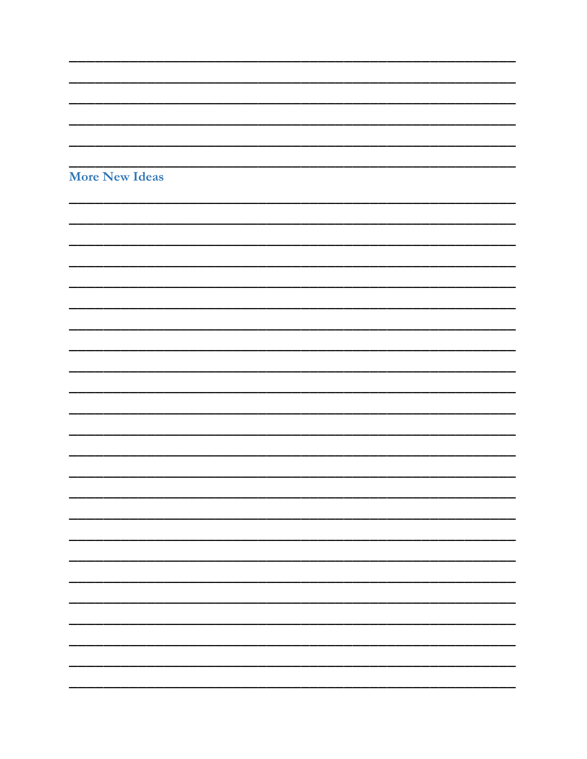| <b>More New Ideas</b> |  |  |
|-----------------------|--|--|
|                       |  |  |
|                       |  |  |
|                       |  |  |
|                       |  |  |
|                       |  |  |
|                       |  |  |
|                       |  |  |
|                       |  |  |
|                       |  |  |
|                       |  |  |
|                       |  |  |
|                       |  |  |
|                       |  |  |
|                       |  |  |
|                       |  |  |
|                       |  |  |
|                       |  |  |
|                       |  |  |
|                       |  |  |
|                       |  |  |
|                       |  |  |
|                       |  |  |
|                       |  |  |
|                       |  |  |
|                       |  |  |
|                       |  |  |
|                       |  |  |
|                       |  |  |